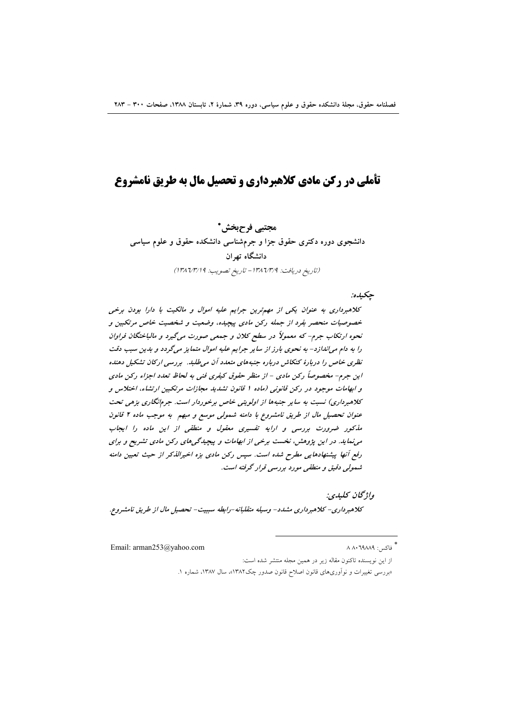# تأملي در ركن مادي كلاهبرداري و تحصيل مال به طريق نامشروع

مجتبي فرحبخش\* دانشجوی دوره دکتری حقوق جزا و جرمشناسی دانشکده حقوق و علوم سیاسی دانشگاه تهران (تاريخ دريافت: ١٣٨٦/٣/٩ - تاريخ تصويب: ١٣٨٦/٣/١٩)

جكيده:

كلاهبرداري به عنوان يكي از مهم ترين جرايم عليه اموال و مالكيت با دارا بودن برخي خصوصیات منحصر بفرد از جمله رکن مادی پیچیده، وضعیت و شخصیت خاص مرتکبین و نحوه ارتکاب جرم- که معمولاً در سطح کلان و جمعی صورت میگیرد و مالباختگان فراوان را به دام می/ندازد- به نحوی بارز از سایر جرایم علیه اموال متمایز میگردد و بدین سبب دقت نظری خاص را دربارهٔ کنکاش درباره جنبههای متعدد آن می طلبد. بررسی ارکان تشکیل دهنده این جرم- مخصوصاً رکن مادی - از منظر حقوق کیفری فنی به لحاظ تعدد اجزاء رکن مادی و ابهامات موجود در رکن قانونی (ماده ۱ قانون تشدید مجازات مرتکبین ارتشاء، اختلاس و کلاهبرداری) نسبت به سایر جنبهها از اولویتی خاص برخوردار است. جرمانگاری بزهی تحت عنوان تحصیل مال از طریق نامشروع با دامنه شمولی موسع و مبهم به موجب ماده ۲ قانون ملکور ضرورت بررسی و ارایه تفسیری معقول و منطقی از این ماده را ایجاب می نماید. در این پژوهش، نخست برخی از ابهامات و پیچیدگی های رکن مادی تشریح و برای رفع آنها پیشنهادهایی مطرح شده است. سپس رکن مادی بزه اخیرالذکر از حیث تعیین دامنه شمولی دقیق و منطقی مورد بررسی قرار گرفته است.

واژگان كليدي: كلاهبرداري- كلاهبرداري مشدد- وسيله متقلبانه-رابطه سببيت- تحصيل مال از طريق نامشروع.

Email: arman253@yahoo.com

فاكس: ٨ ٨٠٦٩٨٨٩

از این نویسنده تاکنون مقاله زیر در همین مجله منتشر شده است: «بررسی تغییرات و نواّوریهای قانون اصلاح قانون صدور چک۱۳۸۲»، سال ۱۳۸۷، شماره ۱.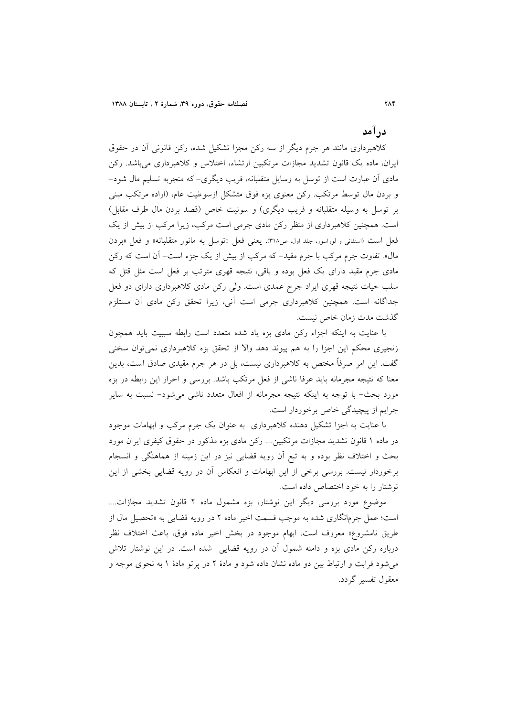## درآمد

کلاهبرداری مانند هر جرم دیگر از سه رکن مجزا تشکیل شده، رکن قانونی آن در حقوق ایران، ماده یک قانون تشدید مجازات مرتکبین ارتشاء، اختلاس و کلاهبرداری می باشد. رکن مادی آن عبارت است از توسل به وسایل متقلبانه، فریب دیگری- که منجربه تسلیم مال شود-و بردن مال توسط مرتکب. رکن معنوی بزه فوق متشکل ازسوءنیت عام، (اراده مرتکب مبنی بر توسل به وسیله متقلبانه و فریب دیگری) و سونیت خاص (قصد بردن مال طرف مقابل) است. همچنین کلاهبرداری از منظر رکن مادی جرمی است مرکب، زیرا مرکب از بیش از یک فعل است (استفانی و لوواسور، جلد اول، ص۳۱۸). یعنی فعل «توسل به مانور متقلبانه» و فعل «بردن مال». تفاوت جرم مرکب با جرم مقید– که مرکب از بیش از یک جزء است– آن است که رکن مادی جرم مقید دارای یک فعل بوده و باقی، نتیجه قهری مترتب بر فعل است مثل قتل که سلب حیات نتیجه قهری ایراد جرح عمدی است. ولی رکن مادی کلاهبرداری دارای دو فعل جداگانه است. همچنین کلاهبرداری جرمی است آنی، زیرا تحقق رکن مادی آن مستلزم گذشت مدت زمان خاص نیست.

با عنایت به اینکه اجزاء رکن مادی بزه یاد شده متعدد است رابطه سببیت باید همچون زنجیری محکم این اجزا را به هم پیوند دهد والا از تحقق بزه کلاهبرداری نمیتوان سخنی گفت. این امر صرفاً مختص به کلاهبرداری نیست، بل در هر جرم مقیدی صادق است، بدین معنا که نتیجه مجرمانه باید عرفا ناشی از فعل مرتکب باشد. بررسی و احراز این رابطه در بزه مورد بحث- با توجه به اینکه نتیجه مجرمانه از افعال متعدد ناشی میشود– نسبت به سایر جرايم از پيچيدگي خاص برخوردار است.

با عنایت به اجزا تشکیل دهنده کلاهبرداری به عنوان یک جرم مرکب و ابهامات موجود در ماده ۱ قانون تشدید مجازات مرتکبین.... رکن مادی بزه مذکور در حقوق کیفری ایران مورد بحث و اختلاف نظر بوده و به تبع أن رويه قضايي نيز در اين زمينه از هماهنگي و انسجام برخوردار نیست. بررسی برخی از این ابهامات و انعکاس آن در رویه قضایی بخشی از این نوشتار را به خود اختصاص داده است.

موضوع مورد بررسی دیگر این نوشتار، بزه مشمول ماده ۲ قانون تشدید مجازات.... است؛ عمل جرم|نگاری شده به موجب قسمت اخیر ماده ۲ در رویه قضای<sub>م</sub> به «تحصیل مال از طريق نامشروع» معروف است. ابهام موجود در بخش اخير ماده فوق، باعث اختلاف نظر درباره رکن مادی بزه و دامنه شمول آن در رویه قضایی شده است. در این نوشتار تلاش می شود قرابت و ارتباط بین دو ماده نشان داده شود و مادهٔ ۲ در پرتو مادهٔ ۱ به نحوی موجه و معقول تفسیر گردد.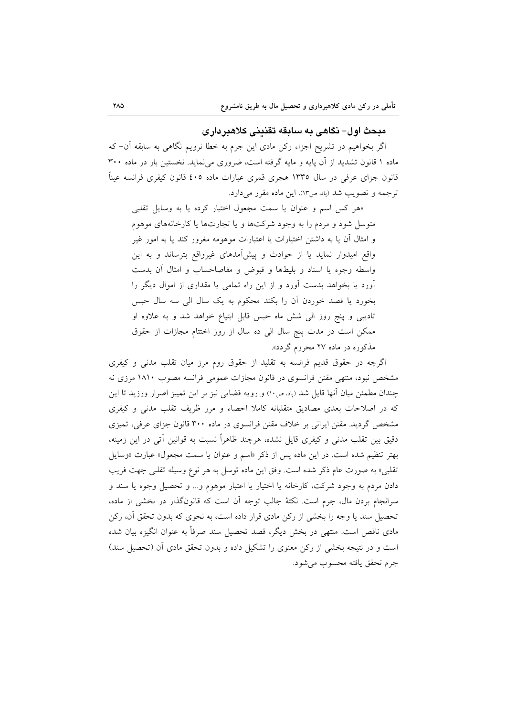### مبحث اول– نگاهي به سابقه تقنيني كلاهبرداري

اگر بخواهیم در تشریح اجزاء رکن مادی این جرم به خطا نرویم نگاهی به سابقه آن– که ماده ۱ قانون تشدید از آن پایه و مایه گرفته است، ضروری می نماید. نخستین بار در ماده ۳۰۰ قانون جزای عرفی در سال ۱۳۳۵ هجری قمری عبارات ماده ٤٠٥ قانون کیفری فرانسه عیناً ترجمه و تصویب شد (پاد، ص۱۳). این ماده مقرر میدارد.

«هر کس اسم و عنوان یا سمت مجعول اختیار کرده یا به وسایل تقلبی متوسل شود و مردم را به وجود شرکتها و یا تجارتها یا کارخانههای موهوم و امثال آن یا به داشتن اختیارات یا اعتبارات موهومه مغرور کند یا به امور غیر واقع امیدوار نماید یا از حوادث و پیشآمدهای غیرواقع بترساند و به این واسطه وجوه يا اسناد و بليطها و قبوض و مفاصاحساب و امثال أن بدست آورد یا بخواهد بدست آورد و از این راه تمامی یا مقداری از اموال دیگر را بخورد يا قصد خوردن أن را بكند محكوم به يك سال الى سه سال حبس تادیبی و پنج روز الی شش ماه حبس قابل ابتیاع خواهد شد و به علاوه او ممکن است در مدت پنج سال الی ده سال از روز اختتام مجازات از حقوق مذکوره در ماده ۲۷ محروم گردد».

اگرچه در حقوق قدیم فرانسه به تقلید از حقوق روم مرز میان تقلب مدنی و کیفری مشخص نبود، منتهی مقنن فرانسوی در قانون مجازات عمومی فرانسه مصوب ۱۸۱۰ مرزی نه چندان مطمئن میان أنها قایل شد (باد، ص١٠) و رویه قضایی نیز بر این تمییز اصرار ورزید تا این که در اصلاحات بعدی مصادیق متقلبانه کاملا احصاء و مرز ظریف تقلب مدنی و کیفری مشخص گردید. مقنن ایرانی بر خلاف مقنن فرانسوی در ماده ۳۰۰ قانون جزای عرفی، تمیزی دقیق بین تقلب مدنی و کیفری قایل نشده، هرچند ظاهراً نسبت به قوانین آتی در این زمینه، بهتر تنظیم شده است. در این ماده پس از ذکر «اسم و عنوان یا سمت مجعول» عبارت «وسایل تقلبي» به صورت عام ذكر شده است. وفق اين ماده توسل به هر نوع وسيله تقلبي جهت فريب دادن مردم به وجود شركت، كارخانه يا اختيار يا اعتبار موهوم و... و تحصيل وجوه يا سند و سرانجام بردن مال، جرم است. نکتهٔ جالب توجه آن است که قانونگذار در بخشی از ماده، تحصیل سند یا وجه را بخشی از رکن مادی قرار داده است، به نحوی که بدون تحقق اَن، رکن مادی ناقص است. منتهی در بخش دیگر، قصد تحصیل سند صرفاً به عنوان انگیزه بیان شده است و در نتیجه بخشی از رکن معنوی را تشکیل داده و بدون تحقق مادی آن (تحصیل سند) جرم تحقق يافته محسوب مي شود.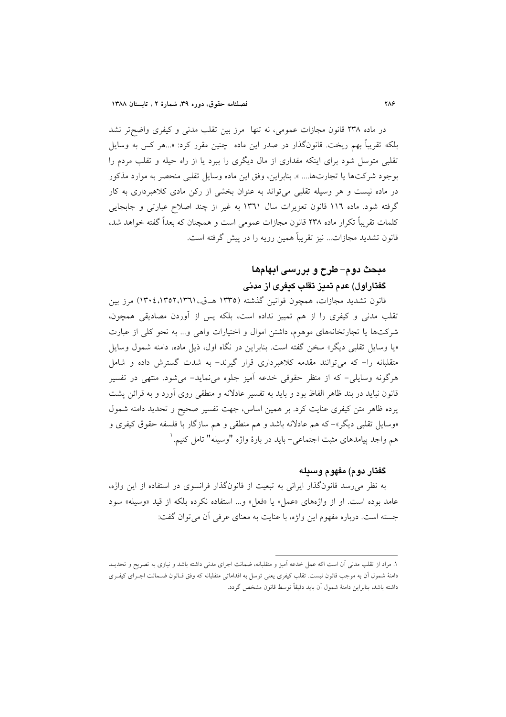در ماده ۲۳۸ قانون مجازات عمومی، نه تنها ً مرز بین تقلب مدنی و کیفری واضح تر نشد بلکه تقریباً بهم ریخت. قانونگذار در صدر این ماده چنین مقرر کرد: «…هر کس به وسایل تقلبی متوسل شود برای اینکه مقداری از مال دیگری را ببرد یا از راه حیله و تقلب مردم را بوجود شركتها يا تجارتها.... ». بنابراين، وفق اين ماده وسايل تقلبي منحصر به موارد مذكور در ماده نیست و هر وسیله تقلبی می تواند به عنوان بخشی از رکن مادی کلاهبرداری به کار گرفته شود. ماده ١١٦ قانون تعزيرات سال ١٣٦١ به غير از چند اصلاح عبارتي و جابجايي کلمات تقریباً تکرار ماده ۲۳۸ قانون مجازات عمومی است و همچنان که بعداً گفته خواهد شد. قانون تشدید مجازات... نیز تقریباً همین رویه را در پیش گرفته است.

# مبحث دوم– طرح و بررسی ابهامها گفتاراول) عدم تميز تقلب كيفرى از مدنى

قانون تشدید مجازات، همچون قوانین گذشته (۱۳۳۵ هــق.۱۳۹۱،۱۳۵۲،۱۳۵۲) مرز بین تقلب مدنی و کیفری را از هم تمییز نداده است، بلکه پس از آوردن مصادیقی همچون، شرکتها یا تجارتخانههای موهوم، داشتن اموال و اختیارات واهی و… به نحو کلی از عبارت «یا وسایل تقلبی دیگر» سخن گفته است. بنابراین در نگاه اول، ذیل ماده، دامنه شمول وسایل متقلبانه را- که می توانند مقدمه کلاهبرداری قرار گیرند- به شدت گسترش داده و شامل هرگونه وسایلی- که از منظر حقوقی خدعه آمیز جلوه مینماید- میشود. منتهی در تفسیر قانون نباید در بند ظاهر الفاظ بود و باید به تفسیر عادلانه و منطقی روی آورد و به قرائن پشت یرده ظاهر متن کیفری عنایت کرد. بر همین اساس، جهت تفسیر صحیح و تحدید دامنه شمول «وسایل تقلبی دیگر»–که هم عادلانه باشد و هم منطقی و هم سازگار با فلسفه حقوق کیفری و هم واجد پیامدهای مثبت اجتماعی- باید در بارهٔ واژه "وسیله" تامل کنیم. `

## گفتار دوم) مفهوم وسبله

به نظر می رسد قانونگذار ایرانی به تبعیت از قانونگذار فرانسوی در استفاده از این واژه، عامد بوده است. او از واژههای «عمل» یا «فعل» و... استفاده نکرده بلکه از قید «وسیله» سود جسته است. درباره مفهوم این واژه، با عنایت به معنای عرفی آن می توان گفت:

١. مراد از تقلب مدنی أن است اكه عمل خدعه أميز و متقلبانه، ضمانت اجراى مدنی داشته باشد و نيازى به تصريح و تحديـد دامنهٔ شمول آن به موجب قانون نیست. تقلب کیفری یعنی توسل به اقداماتی متقلبانه که وفق قـانون ضـمانت اجـرای کیفـری داشته باشد، بنابراین دامنهٔ شمول آن باید دقیقاً توسط قانون مشخص گردد.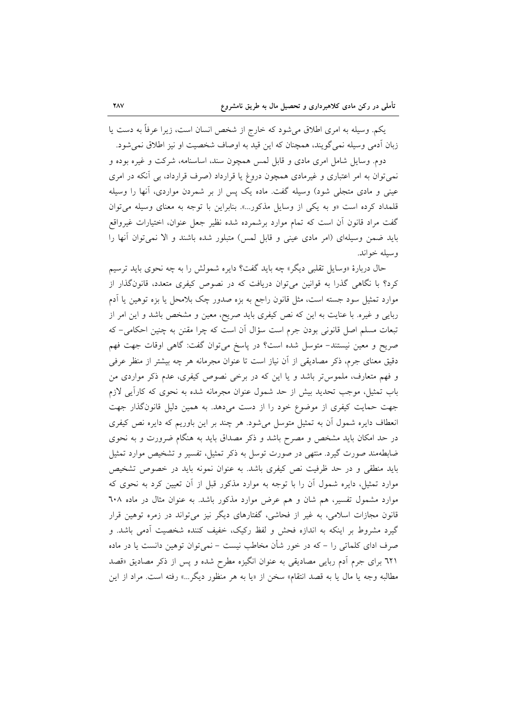یکم. وسیله به امری اطلاق میشود که خارج از شخص انسان است، زیرا عرفاً به دست یا زبان آدمی وسیله نمی گویند، همچنان که این قید به اوصاف شخصیت او نیز اطلاق نمی شود.

دوم. وسایل شامل امری مادی و قابل لمس همچون سند، اساسنامه، شرکت و غیره بوده و نمی توان به امر اعتباری و غیرمادی همچون دروغ یا قرارداد (صرف قرارداد، بی آنکه در امری عینی و مادی متجلّی شود) وسیله گفت. ماده یک پس از بر شمردن مواردی، آنها را وسیله قلمداد کرده است «و به یکی از وسایل مذکور...». بنابراین با توجه به معنای وسیله می توان گفت مراد قانون آن است که تمام موارد برشمرده شده نظیر جعل عنوان، اختیارات غیرواقع باید ضمن وسیلهای (امر مادی عینی و قابل لمس) متبلور شده باشند و الا نمی توان آنها را وسيله خواند.

حال دربارهٔ «وسایل تقلبی دیگر» چه باید گفت؟ دایره شمولش را به چه نحوی باید ترسیم کرد؟ با نگاهی گذرا به قوانین می توان دریافت که در نصوص کیفری متعدد، قانونگذار از موارد تمثیل سود جسته است، مثل قانون راجع به بزه صدور چک بلامحل یا بزه توهین یا آدم ربایی و غیره. با عنایت به این که نص کیفری باید صریح، معین و مشخص باشد و این امر از تبعات مسلم اصل قانونی بودن جرم است سؤال آن است که چرا مقنن به چنین احکامی- که صریح و معین نیستند- متوسل شده است؟ در پاسخ میتوان گفت: گاهی اوقات جهت فهم دقیق معنای جرم، ذکر مصادیقی از آن نیاز است تا عنوان مجرمانه هر چه بیشتر از منظر عرفی و فهم متعارف، ملموس تر باشد و یا این که در برخی نصوص کیفری، عدم ذکر مواردی من باب تمثیل، موجب تحدید بیش از حد شمول عنوان مجرمانه شده به نحوی که کاراًیی لازم جهت حمایت کیفری از موضوع خود را از دست میدهد. به همین دلیل قانونگذار جهت انعطاف دایره شمول أن به تمثیل متوسل میشود. هر چند بر این باوریم که دایره نص کیفری در حد امکان باید مشخص و مصرح باشد و ذکر مصداق باید به هنگام ضرورت و به نحوی ضابطهمند صورت گیرد. منتهی در صورت توسل به ذکر تمثیل، تفسیر و تشخیص موارد تمثیل باید منطقی و در حد ظرفیت نص کیفری باشد. به عنوان نمونه باید در خصوص تشخیص موارد تمثیل، دایره شمول آن را با توجه به موارد مذکور قبل از آن تعیین کرد به نحوی که موارد مشمول تفسیر، هم شان و هم عرض موارد مذکور باشد. به عنوان مثال در ماده ٦٠٨ قانون مجازات اسلامی، به غیر از فحاشی، گفتارهای دیگر نیز میتواند در زمره توهین قرار گیرد مشروط بر اینکه به اندازه فحش و لفظ رکیک، خفیف کننده شخصیت آدمی باشد. و صرف ادای کلماتی را – که در خور شأن مخاطب نیست – نمی توان توهین دانست یا در ماده ٦٢١ براي جرم آدم ربايي مصاديقي به عنوان انگيزه مطرح شده و پس از ذكر مصاديق «قصد مطالبه وجه يا مال يا به قصد انتقام» سخن از «يا به هر منظور ديگر…» رفته است. مراد از اين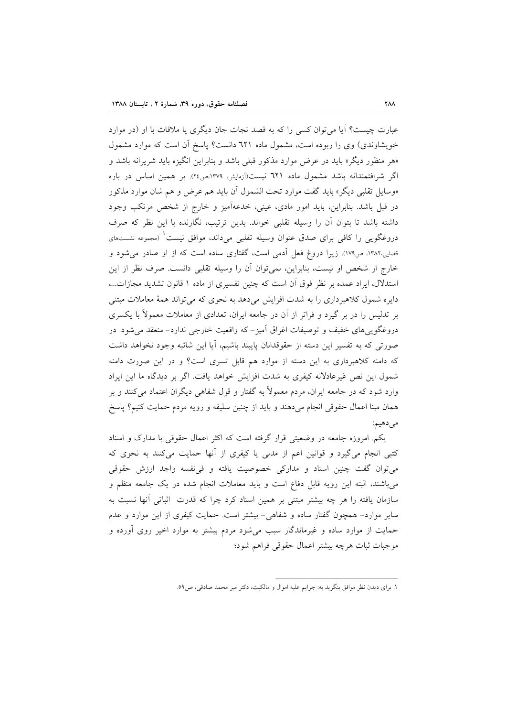عبارت چیست؟ آیا می توان کسی را که به قصد نجات جان دیگری یا ملاقات با او (در موارد خویشاوندی) وی را ربوده است، مشمول ماده ٦٢١ دانست؟ پاسخ آن است که موارد مشمول «هر منظور دیگر» باید در عرض موارد مذکور قبلی باشد و بنابراین انگیزه باید شریرانه باشد و اگر شرافتمندانه باشد مشمول ماده ٦٢١ نيست(آزمايش، ١٣٧٩،ص٢٤). بر همين اساس در باره «وسايل تقلبي ديگر» بايد گفت موارد تحت الشمول آن بايد هم عرض و هم شان موارد مذكور در قبل باشد. بنابراین، باید امور مادی، عینی، خدعهآمیز و خارج از شخص مرتکب وجود داشته باشد تا بتوان أن را وسيله تقلبي خواند. بدين ترتيب، نگارنده با اين نظر كه صرف دروغگویی را کافی برای صدق عنوان وسیله تقلبی میداند، موافق نیست ٰ (مجموعه نشستهای قضایی،۱۳۸۲، ص۱۷۹). زیرا دروغ فعل آدمی است، گفتاری ساده است که از او صادر می شود و خارج از شخص او نیست، بنابراین، نمیٍتوان آن را وسیله تقلبی دانست. صرف نظر از این استدلال، ایراد عمده بر نظر فوق آن است که چنین تفسیری از ماده ۱ قانون تشدید مجازات...، دایره شمول کلاهبرداری را به شدت افزایش میدهد به نحوی که می تواند همهٔ معاملات مبتنی بر تدلیس را در بر گیرد و فراتر از آن در جامعه ایران، تعدادی از معاملات معمولاً با یکسری دروغگوییهای خفیف و توصیفات اغراق آمیز–که واقعیت خارجی ندارد– منعقد می شود. در صورتی که به تفسیر این دسته از حقوقدانان پایبند باشیم، آیا این شائبه وجود نخواهد داشت که دامنه کلاهبرداری به این دسته از موارد هم قابل تسری است؟ و در این صورت دامنه شمول این نص غیرعادلانه کیفری به شدت افزایش خواهد یافت. اگر بر دیدگاه ما این ایراد وارد شود که در جامعه ایران، مردم معمولاً به گفتار و قول شفاهی دیگران اعتماد میکنند و بر همان مبنا اعمال حقوقی انجام میدهند و باید از چنین سلیقه و رویه مردم حمایت کنیم؟ پاسخ مي دهيم:

یکم. امروزه جامعه در وضعیتی قرار گرفته است که اکثر اعمال حقوقی با مدارک و اسناد کتبی انجام میگیرد و قوانین اعم از مدنی یا کیفری از آنها حمایت میکنند به نحوی که میتوان گفت چنین اسناد و مدارکی خصوصیت یافته و فی نفسه واجد ارزش حقوقی می باشند، البته این رویه قابل دفاع است و باید معاملات انجام شده در یک جامعه منظم و سازمان یافته را هر چه بیشتر مبتنی بر همین اسناد کرد چرا که قدرت اثباتی آنها نسبت به سایر موارد- همچون گفتار ساده و شفاهی- بیشتر است. حمایت کیفری از این موارد و عدم حمایت از موارد ساده و غیرماندگار سبب میشود مردم بیشتر به موارد اخیر روی آورده و موجبات ثبات هرچه بيشتر اعمال حقوقي فراهم شود؛

١. براي ديدن نظر موافق بنگريد به: جرايم عليه اموال و مالكيت، دكتر مير محمد صادقي، ص٥٩.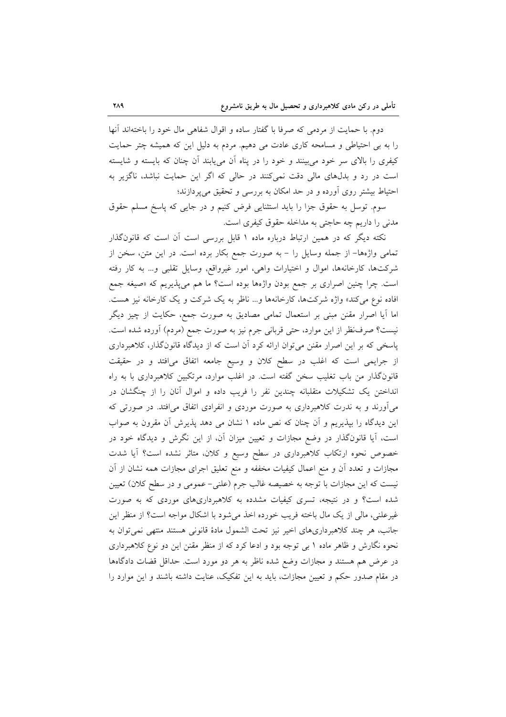دوم. با حمایت از مردمی که صرفا با گفتار ساده و اقوال شفاهی مال خود را باختهاند آنها را به بی احتیاطی و مسامحه کاری عادت می دهیم. مردم به دلیل این که همیشه چتر حمایت کیفری را بالای سر خود می بینند و خود را در پناه اَن میbیابند اَن چنان که بایسته و شایسته است در رد و بدلهای مالی دقت نمیکنند در حالی که اگر این حمایت نباشد، ناگزیر به احتیاط بیشتر روی آورده و در حد امکان به بررسی و تحقیق میپردازند؛

سوم. توسل به حقوق جزا را باید استثنایی فرض کنیم و در جایی که پاسخ مسلم حقوق مدنی را داریم چه حاجتی به مداخله حقوق کیفری است.

نکته دیگر که در همین ارتباط درباره ماده ۱ قابل بررسی است آن است که قانونگذار تمامی واژهها- از جمله وسایل را - به صورت جمع بکار برده است. در این متن، سخن از شرکتها، کارخانهها، اموال و اختیارات واهی، امور غیرواقع, وسایل تقلبی و... به کار رفته است. چرا چنین اصراری بر جمع بودن واژهها بوده است؟ ما هم می پذیریم که «صیغه جمع افاده نوع میکند» واژه شرکتها، کارخانهها و... ناظر به یک شرکت و یک کارخانه نیز هست. اما آیا اصرار مقنن مبنی بر استعمال تمامی مصادیق به صورت جمع، حکایت از چیز دیگر نیست؟ صرفنظر از این موارد، حتبی قربانی جرم نیز به صورت جمع (مردم) آورده شده است. پاسخی که بر این اصرار مقنن می توان ارائه کرد آن است که از دیدگاه قانونگذار، کلاهبرداری از جرایمی است که اغلب در سطح کلان و وسیع جامعه اتفاق میافتد و در حقیقت قانونگذار من باب تغلیب سخن گفته است. در اغلب موارد، مرتکبین کلاهبرداری با به راه انداختن یک تشکیلات متقلبانه چندین نفر را فریب داده و اموال آنان را از چنگشان در میآورند و به ندرت کلاهبرداری به صورت موردی و انفرادی اتفاق میافتد. در صورتی که این دیدگاه را بپذیریم و آن چنان که نص ماده ۱ نشان می دهد پذیرش آن مقرون به صواب است، آیا قانونگذار در وضع مجازات و تعیین میزان آن، از این نگرش و دیدگاه خود در خصوص نحوه ارتکاب کلاهبرداری در سطح وسیع و کلان، متاثر نشده است؟ آیا شدت مجازات و تعدد أن و منع اعمال كيفيات مخففه و منع تعليق اجراي مجازات همه نشان از أن نیست که این مجازات با توجه به خصیصه غالب جرم (علنی– عمومی و در سطح کلان) تعیین شده است؟ و در نتیجه، تسری کیفیات مشدده به کلاهبرداریهای موردی که به صورت غیرعلنی، مالی از یک مال باخته فریب خورده اخذ می شود با اشکال مواجه است؟ از منظر این جانب، هر چند كلاهبردارىهاى اخير نيز تحت الشمول مادهٔ قانونى هستند منتهى نمى توان به نحوه نگارش و ظاهر ماده ۱ بی توجه بود و ادعا کرد که از منظر مقنن این دو نوع کلاهبرداری در عرض هم هستند و مجازات وضع شده ناظر به هر دو مورد است. حداقل قضات دادگاهها در مقام صدور حکم و تعیین مجازات، باید به این تفکیک، عنایت داشته باشند و این موارد را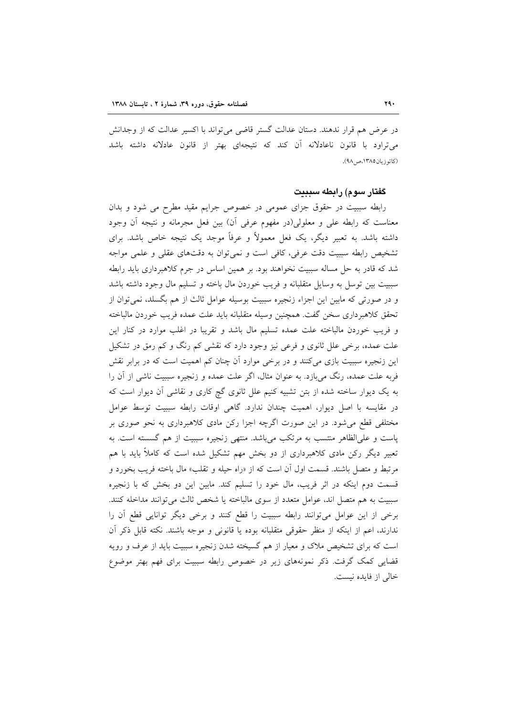در عرض هم قرار ندهند. دستان عدالت گستر قاضی می تواند با اکسیر عدالت که از وجدانش می تراود با قانون ناعادلانه آن کند که نتیجهای بهتر از قانون عادلانه داشته باشد (کاتو زبان ١٣٨٥، ص ٩٨).

### گفتار سوم) رابطه سببیت

رابطه سببیت در حقوق جزای عمومی در خصوص جرایم مقید مطرح می شود و بدان معناست که رابطه علی و معلولی(در مفهوم عرفی آن) بین فعل مجرمانه و نتیجه آن وجود داشته باشد. به تعبیر دیگر، یک فعل معمولاً و عرفاً موجد یک نتیجه خاص باشد. برای تشخیص رابطه سببیت دقت عرفی، کافی است و نمی توان به دقتهای عقلی و علمی مواجه شد که قادر به حل مساله سببیت نخواهند بود. بر همین اساس در جرم کلاهبرداری باید رابطه سببيت بين توسل به وسايل متقلبانه و فريب خوردن مال باخته و تسليم مال وجود داشته باشد و در صورتی که مابین این اجزاء زنجیره سببیت بوسیله عوامل ثالث از هم بگسلد، نمی توان از تحقق كلاهبرداري سخن گفت. همچنين وسيله متقلبانه بايد علت عمده فريب خوردن مالباخته و فریب خوردن مالباخته علت عمده تسلیم مال باشد و تقریبا در اغلب موارد در کنار این علت عمده، برخی علل ثانوی و فرعی نیز وجود دارد که نقشی کم رنگ و کم رمق در تشکیل این زنجیره سببیت بازی میکنند و در برخی موارد آن چنان کم اهمیت است که در برابر نقش فربه علت عمده، رنگ میبازد. به عنوان مثال، اگر علت عمده و زنجیره سببیت ناشی از آن را به یک دیوار ساخته شده از بتن تشبیه کنیم علل ثانوی گچ کاری و نقاشی آن دیوار است که در مقايسه با اصل ديوار، اهميت چندان ندارد. گاهي اوقات رابطه سببيت توسط عوامل مختلفی قطع میشود. در این صورت اگرچه اجزا رکن مادی کلاهبرداری به نحو صوری بر پاست و علی الظاهر منتسب به مرتکب می باشد. منتهی زنجیره سببیت از هم گسسته است. به تعبیر دیگر رکن مادی کلاهبرداری از دو بخش مهم تشکیل شده است که کاملاً باید با هم مرتبط و متصل باشند. قسمت اول أن است كه از «راه حيله و تقلب» مال باخته فريب بخورد و قسمت دوم اینکه در اثر فریب، مال خود را تسلیم کند. مابین این دو بخش که با زنجیره سببیت به هم متصل اند، عوامل متعدد از سوی مالباخته یا شخص ثالث میتوانند مداخله کنند. برخی از این عوامل میتوانند رابطه سببیت را قطع کنند و برخی دیگر توانایی قطع آن را ندارند، اعم از اینکه از منظر حقوقی متقلبانه بوده یا قانونی و موجه باشند. نکته قابل ذکر آن است که برای تشخیص ملاک و معیار از هم گسیخته شدن زنجیره سببیت باید از عرف و رویه قضایی کمک گرفت. ذکر نمونههای زیر در خصوص رابطه سببیت برای فهم بهتر موضوع خالي از فايده نيست.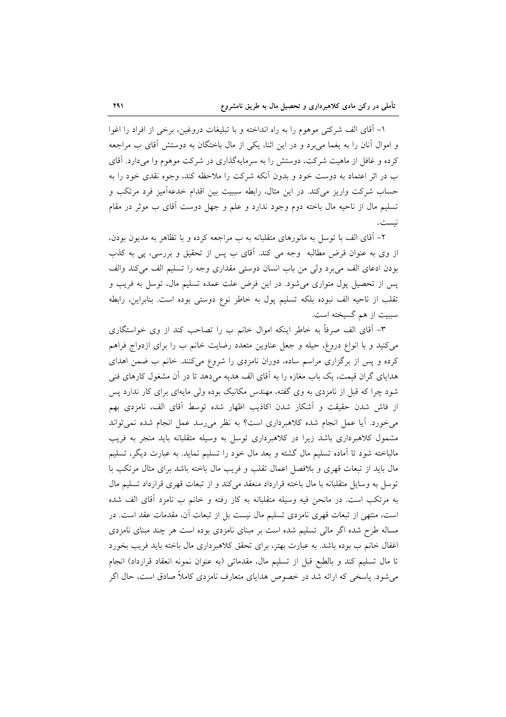١- آقاى الف شركتي موهوم را به راه انداخته و با تبليغات دروغين، برخي از افراد را اغوا و اموال آنان را به یغما می برد و در این اثنا، یکی از مال باختگان به دوستش آقای ب مراجعه کرده و غافل از ماهیت شرکت، دوستش را به سرمایهگذاری در شرکت موهوم وا میدارد. آقای ب در اثر اعتماد به دوست خود و بدون أنكه شركت را ملاحظه كند، وجوه نقدى خود را به حساب شرکت واریز میکند. در این مثال، رابطه سببیت بین اقدام خدعهآمیز فرد مرتکب و تسلیم مال از ناحیه مال باخته دوم وجود ندارد و علم و جهل دوست آقای ب موثر در مقام نست.

۲- آقای الف با توسل به مانورهای متقلبانه به ب مراجعه کرده و با تظاهر به مدیون بودن، از وی به عنوان قرض مطالبه وجه می کند. آقای ب پس از تحقیق و بررسی، پی به کذب بودن ادعاى الف مى برد ولى من باب انسان دوستى مقدارى وجه را تسليم الف مى كند والف يس از تحصيل يول متواري مي شود. در اين فرض علت عمده تسليم مال، توسل به فريب و تقلب از ناحیه الف نبوده بلکه تسلیم پول به خاطر نوع دوستی بوده است. بنابراین، رابطه سببيت از هم گسيخته است.

٣- آقای الف صرفاً به خاطر اینکه اموال خانم ب را تصاحب کند از وی خواستگاری می کنید و با انواع دروغ، حیله و جعل عناوین متعدد رضایت خانم ب را برای ازدواج فراهم کرده و پس از برگزاری مراسم ساده، دوران نامزدی را شروع میکنند. خانم ب ضمن اهدای هدایای گران قیمت، یک باب مغازه را به آقای الف هدیه میدهد تا در آن مشغول کارهای فنی شود چرا که قبل از نامزدی به وی گفته، مهندس مکانیک بوده ولی مایهای برای کار ندارد پس از فاش شدن حقیقت و آشکار شدن اکاذیب اظهار شده توسط آقای الف، نامزدی بهم میخورد. آیا عمل انجام شده کلاهبرداری است؟ به نظر میرسد عمل انجام شده نمیتواند مشمول کلاهبرداری باشد زیرا در کلاهبرداری توسل به وسیله متقلبانه باید منجر به فریب مالباخته شود تا آماده تسلیم مال گشته و بعد مال خود را تسلیم نماید. به عبارت دیگر، تسلیم مال باید از تبعات قهری و بلافصل اعمال تقلب و فریب مال باخته باشد برای مثال مرتکب با توسل به وسایل متقلبانه با مال باخته قرارداد منعقد می کند و از تبعات قهری قرارداد تسلیم مال به مرتکب است. در مانحن فیه وسیله متقلبانه به کار رفته و خانم ب نامزد آقای الف شده است، منتهی از تبعات قهری نامزدی تسلیم مال نیست بل از تبعات آن، مقدمات عقد است. در مساله طرح شده اگر مالی تسلیم شده است بر مبنای نامزدی بوده است هر چند مبنای نامزدی اغفال خانم ب بوده باشد. به عبارت بهتر، براي تحقق كلاهبرداري مال باخته بايد فريب بخورد تا مال تسليم كند و بالطبع قبل از تسليم مال، مقدماتي (به عنوان نمونه انعقاد قرارداد) انجام می شود. پاسخی که ارائه شد در خصوص هدایای متعارف نامزدی کاملاً صادق است، حال اگر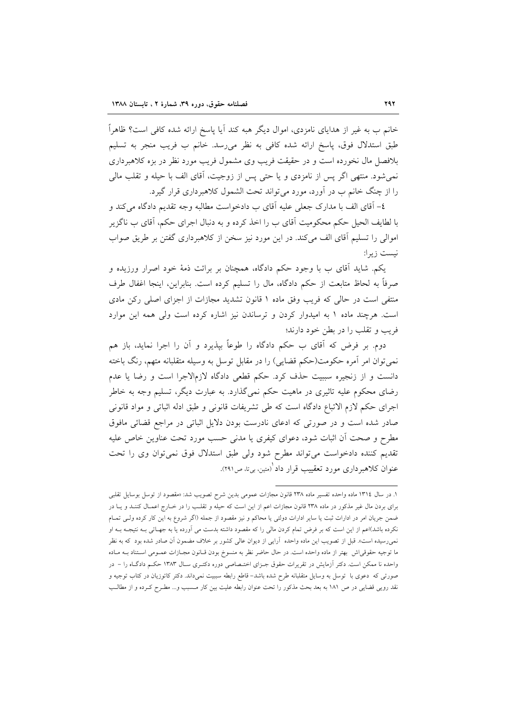خانم ب به غیر از هدایای نامزدی، اموال دیگر هبه کند آیا پاسخ ارائه شده کافی است؟ ظاهراً طبق استدلال فوق، پاسخ ارائه شده كافي به نظر مي رسد. خانم ب فريب منجر به تسليم بلافصل مال نخورده است و در حقیقت فریب وی مشمول فریب مورد نظر در بزه کلاهبرداری نمي شود. منتهى اگر پس از نامزدى و يا حتى پس از زوجيت، آقاى الف با حيله و تقلب مالي را از چنگ خانم ب در آورد، مورد می تواند تحت الشمول کلاهبرداری قرار گیرد.

٤– آقای الف با مدارک جعلی علیه آقای ب دادخواست مطالبه وجه تقدیم دادگاه میکند و با لطايف الحيل حكم محكوميت آقاي ب را اخذ كرده و به دنبال اجراي حكم، آقاي ب ناگزير اموالی را تسلیم آقای الف می کند. در این مورد نیز سخن از کلاهبرداری گفتن بر طریق صواب نيست زيرا:

یکم. شاید آقای ب با وجود حکم دادگاه، همچنان بر برائت ذمهٔ خود اصرار ورزیده و صرفاً به لحاظ متابعت از حکم دادگاه، مال را تسلیم کرده است. بنابراین، اینجا اغفال طرف منتفی است در حالی که فریب وفق ماده ١ قانون تشدید مجازات از اجزای اصلی رکن مادی است. هرچند ماده ۱ به امیدوار کردن و ترساندن نیز اشاره کرده است ولی همه این موارد فريب و تقلب را در بطن خود دارند؛

دوم. بر فرض که آقای ب حکم دادگاه را طوعاً بپذیرد و آن را اجرا نماید، باز هم نمي توان امر آمره حکومت(حکم قضايي) را در مقابل توسل به وسیله متقلبانه متهم، رنگ باخته دانست و از زنجیره سببیت حذف کرد. حکم قطعی دادگاه لازمالاجرا است و رضا یا عدم رضای محکوم علیه تاثیری در ماهیت حکم نمیگذارد. به عبارت دیگر، تسلیم وجه به خاطر اجراى حكم لازم الاتباع دادگاه است كه طي تشريفات قانوني و طبق ادله اثباتي و مواد قانوني صادر شده است و در صورتی که ادعای نادرست بودن دلایل اثباتی در مراجع قضائی مافوق مطرح و صحت آن اثبات شود، دعوای کیفری یا مدنی حسب مورد تحت عناوین خاص علیه تقدیم کننده دادخواست می تواند مطرح شود ولی طبق استدلال فوق نمی توان وی را تحت عنوان کلاهبرداری مورد تعقییب قرار داد ٰ(متین، بی¤، ص۲۹۱).

۱. در سال ۱۳۱٤ ماده واحده تفسیر ماده ۲۳۸ قانون مجازات عمومی بدین شرح تصویب شد: «مقصود از توسل بوسایل تقلبی برای بردن مال غیر مذکور در ماده ۲۳۸ قانون مجازات اعم از این است که حیله و تقلـب را در خــارج اعمــال کننــد و یــا در ضمن جريان امر در ادارات ثبت يا ساير ادارات دولتي يا محاكم و نيز مقصود از جمله (اگر شروع به اين كار كرده ولـي تمـام نکرده باشد)اعم از این است که بر فرض تمام کردن مالی را که مقصود داشته بدست می آورده یا به جهـاتی بـه نتیجـه بـه او نمی رسیده است». قبل از تصویب این ماده واحده آرایی از دیوان عالی کشور بر خلاف مضمون آن صادر شده بود که به نظر ما توجیه حقوقی|ش بهتر از ماده واحده است. در حال حاضر نظر به منسوخ بودن قـانون مجـازات عمــومی اسـتناد بــه مــاده واحده نا ممکن است. دکتر اَزمایش در تقریرات حقوق جـزای اختـصاصی دوره دکتـری سـال ۱۳۸۳ حکـم دادگـاه را – در صورتی که دعوی با توسل به وسایل متقلبانه طرح شده باشد– قاطع رابطه سببیت نمیداند. دکتر کاتوزیان در کتاب توجیه و نقد رویی قضایی در ص ۱۸۱ به بعد بحث مذکور را تحت عنوان رابطه علیت بین کار مـسبب و… مطـرح کـرده و از مطالـب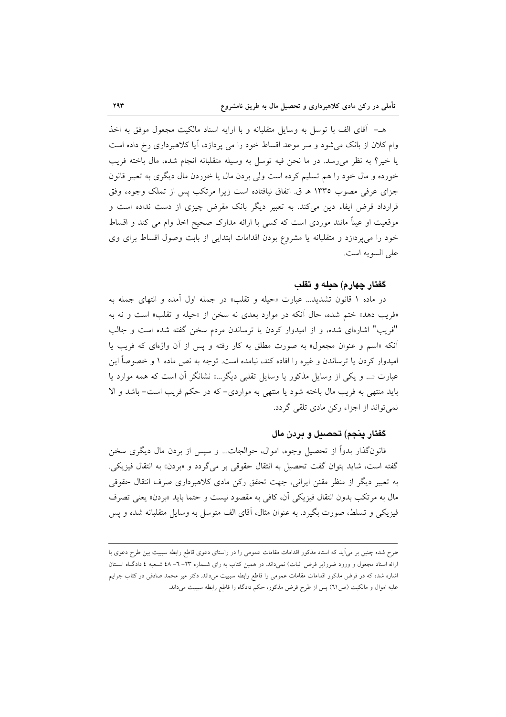هـــ آقاي الف با توسل به وسايل متقلبانه و با ارايه اسناد مالكيت مجعول موفق به اخذ وام کلان از بانک می شود و سر موعد اقساط خود را می پردازد، آیا کلاهبرداری رخ داده است يا خير؟ به نظر مى رسد. در ما نحن فيه توسل به وسيله متقلبانه انجام شده، مال باخته فريب خورده و مال خود را هم تسلیم کرده است ولی بردن مال یا خوردن مال دیگری به تعبیر قانون جزاي عرفي مصوب ١٣٣٥ هـ ق. اتفاق نيافتاده است زيرا مرتكب پس از تملك وجوهء وفق قرارداد قرض ایفاء دین میکند. به تعبیر دیگر بانک مقرض چیزی از دست نداده است و موقعیت او عیناً مانند موردی است که کسی با ارائه مدارک صحیح اخذ وام می کند و اقساط خود را می پردازد و متقلبانه یا مشروع بودن اقدامات ابتدایی از بابت وصول اقساط برای وی على السويه است.

#### گفتار چهارم) حىلە و تقلب

در ماده ۱ قانون تشدید... عبارت «حیله و تقلب» در جمله اول اَمده و انتهای جمله به «فريب دهد» ختم شده، حال آنكه در موارد بعدي نه سخن از «حيله و تقلب» است و نه به "فريب" اشارهاي شده، و از اميدوار كردن يا ترساندن مردم سخن گفته شده است و جالب آنکه «اسم و عنوان مجعول» به صورت مطلق به کار رفته و پس از آن واژهای که فریب یا امیدوار کردن یا ترساندن و غیره را افاده کند، نیامده است. توجه به نص ماده ۱ و خصوصاً این عبارت «... و یکی از وسایل مذکور یا وسایل تقلبی دیگر...» نشانگر آن است که همه موارد یا باید منتهی به فریب مال باخته شود یا منتهی به مواردی- که در حکم فریب است- باشد و الا نمی تواند از اجزاء رکن مادی تلقی گردد.

## گفتار ينجم) تحصىل و پردن مال

قانونگذار بدواً از تحصیل وجوه، اموال، حوالجات... و سپس از بردن مال دیگری سخن گفته است، شاید بتوان گفت تحصیل به انتقال حقوقی بر میگردد و «بردن» به انتقال فیزیکی. به تعبیر دیگر از منظر مقنن ایرانی، جهت تحقق رکن مادی کلاهبرداری صرف انتقال حقوقی مال به مرتکب بدون انتقال فیزیکی آن، کافی به مقصود نیست و حتما باید «بردن» یعنی تصرف فیزیکی و تسلط، صورت بگیرد. به عنوان مثال، آقای الف متوسل به وسایل متقلبانه شده و پس

طرح شده چنین بر میآید که استاد مذکور اقدامات مقامات عمومی را در راستای دعوی قاطع رابطه سببیت بین طرح دعوی با ارائه اسناد مجعول و ورود ضرر(بر فرض اثبات) نمیداند. در همین کتاب به رای شـماره ۲۳– ٦– ٤٨ شـعبه ٤ دادگـاه اسـتان اشاره شده که در فرض مذکور اقدامات مقامات عمومی را قاطع رابطه سببیت میداند. دکتر میر محمد صادقی در کتاب جرایم عليه اموال و مالكيت (ص٦١) پس از طرح فرض مذكور، حكم دادگاه را قاطع رابطه سببيت ميداند.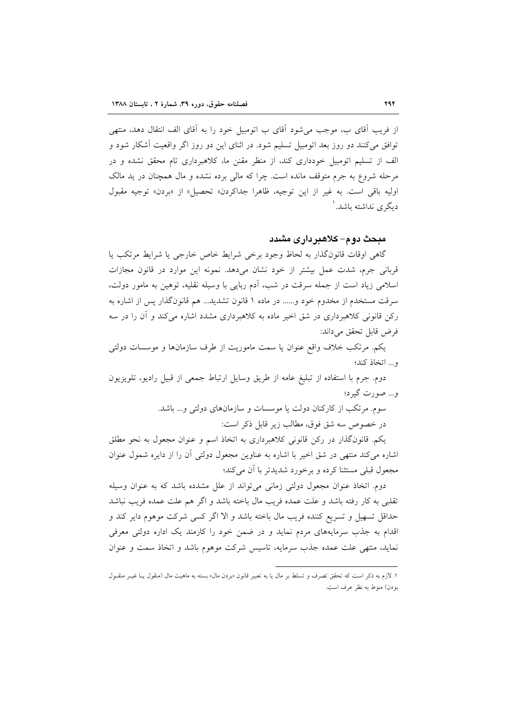از فریب آقای ب، موجب می شود آقای ب اتومبیل خود را به آقای الف انتقال دهد، منتهی توافق می کنند دو روز بعد اتومبیل تسلیم شود. در اثنای این دو روز اگر واقعیت آشکار شود و الف از تسلیم اتومبیل خودداری کند، از منظر مقنن ما، کلاهبرداری تام محقق نشده و در مرحله شروع به جرم متوقف مانده است. چرا که مالی برده نشده و مال همچنان در ید مالک اوليه باقي است. به غير از اين توجيه، ظاهرا جداكردن« تحصيل» از «بردن» توجيه مقبول دیگری نداشته باشد. '

### میحث دو م– کلاهیر دار ی مشدد

گاهی اوقات قانون گذار به لحاظ وجود برخی شرایط خاص خارجی یا شرایط مرتکب یا قربانی جرم، شدت عمل بیشتر از خود نشان میدهد. نمونه این موارد در قانون مجازات اسلامی زیاد است از جمله سرقت در شب، آدم ربایی با وسیله نقلیه، توهین به مامور دولت، سرقت مستخدم از مخدوم خود و...... در ماده ۱ قانون تشدید... هم قانونگذار پس از اشاره به رکن قانونی کلاهبرداری در شق اخیر ماده به کلاهبرداری مشدد اشاره میکند و آن را در سه فرض قابل تحقق مي داند:

یکم. مرتکب خلاف واقع عنوان یا سمت ماموریت از طرف سازمانها و موسسات دولتی و... اتخاذ كند؛

دوم. جرم با استفاده از تبليغ عامه از طريق وسايل ارتباط جمعي از قبيل راديو، تلويزيون و… صورت گیرد؛

سوم. مرتکب از کارکنان دولت یا موسسات و سازمانهای دولتی و... باشد.

در خصوص سه شق فوق، مطالب زير قابل ذكر است:

یکم. قانونگذار در رکن قانونی کلاهبرداری به اتخاذ اسم و عنوان مجعول به نحو مطلق اشاره می کند منتهی در شق اخیر با اشاره به عناوین مجعول دولتی آن را از دایره شمول عنوان مجعول قبلي مستثنا كرده و برخورد شديدتر با آن مي كند؛

دوم. اتخاذ عنوان مجعول دولتی زمانی می تواند از علل مشدده باشد که به عنوان وسیله تقلبی به کار رفته باشد و علت عمده فریب مال باخته باشد و اگر هم علت عمده فریب نباشد حداقل تسهیل و تسریع کننده فریب مال باخته باشد و الا اگر کسی شرکت موهوم دایر کند و اقدام به جذب سرمایههای مردم نماید و در ضمن خود را کارمند یک اداره دولتی معرفی نماید، منتهی علت عمده جذب سرمایه، تاسیس شرکت موهوم باشد و اتخاذ سمت و عنوان

۱. لازم به ذکر است که تحقق تصرف و تسلط بر مال یا به تعبیر قانون «بردن مال» بسته به ماهیت مال (منقول یــا غیــر منقــول بودن) منوط به نظر عرف است.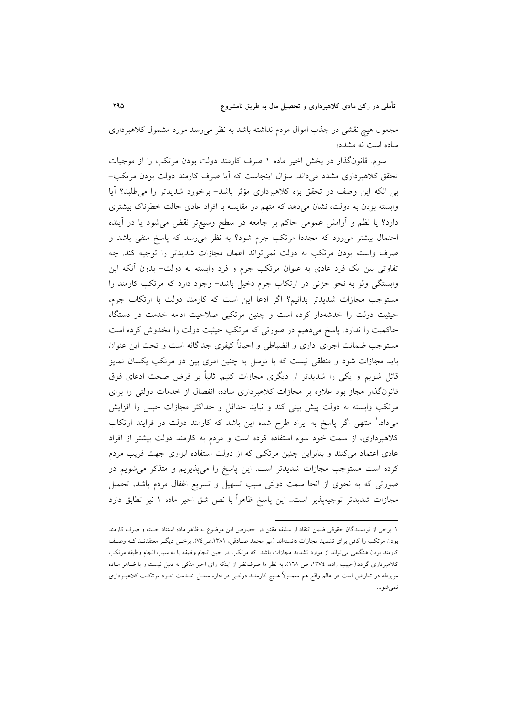مجعول هیچ نقشی در جذب اموال مردم نداشته باشد به نظر می رسد مورد مشمول کلاهبرداری ساده است نه مشدد؛

سوم. قانونگذار در بخش اخیر ماده ۱ صرف کارمند دولت بودن مرتکب را از موجبات تحقق کلاهبرداری مشدد میداند. سؤال اینجاست که آیا صرف کارمند دولت بودن مرتکب-بی انکه این وصف در تحقق بزه کلاهبرداری مؤثر باشد- برخورد شدیدتر را می طلبد؟ آیا وابسته بودن به دولت، نشان می دهد که متهم در مقایسه با افراد عادی حالت خطرناک بیشتری دارد؟ یا نظم و آرامش عمومی حاکم بر جامعه در سطح وسیعتر نقض میشود یا در آینده احتمال بیشتر میرود که مجددا مرتکب جرم شود؟ به نظر می رسد که پاسخ منفی باشد و صرف وابسته بودن مرتکب به دولت نمیتواند اعمال مجازات شدیدتر را توجیه کند. چه تفاوتی بین یک فرد عادی به عنوان مرتکب جرم و فرد وابسته به دولت- بدون آنکه این وابستگی ولو به نحو جزئی در ارتکاب جرم دخیل باشد- وجود دارد که مرتکب کارمند را مستوجب مجازات شدیدتر بدانیم؟ اگر ادعا این است که کارمند دولت با ارتکاب جرم، حیثیت دولت را خدشهدار کرده است و چنین مرتکبی صلاحیت ادامه خدمت در دستگاه حاکمیت را ندارد. پاسخ میدهیم در صورتی که مرتکب حیثیت دولت را مخدوش کرده است مستوجب ضمانت اجراى ادارى و انضباطى و احياناً كيفرى جداگانه است و تحت اين عنوان باید مجازات شود و منطقی نیست که با توسل به چنین امری بین دو مرتکب یکسان تمایز قائل شویم و یکی را شدیدتر از دیگری مجازات کنیم. ثانیاً بر فرض صحت ادعای فوق قانونگذار مجاز بود علاوه بر مجازات کلاهبرداری ساده، انفصال از خدمات دولتی را برای مرتکب وابسته به دولت پیش بینی کند و نباید حداقل و حداکثر مجازات حبس را افزایش میداد.' منتهی اگر پاسخ به ایراد طرح شده این باشد که کارمند دولت در فرایند ارتکاب کلاهبرداری، از سمت خود سوء استفاده کرده است و مردم به کارمند دولت بیشتر از افراد عادی اعتماد میکنند و بنابراین چنین مرتکبی که از دولت استفاده ابزاری جهت فریب مردم کرده است مستوجب مجازات شدیدتر است. این پاسخ را میپذیریم و متذکر میشویم در صورتی که به نحوی از انحا سمت دولتی سبب تسهیل و تسریع اغفال مردم باشد، تحمیل مجازات شدیدتر توجیهپذیر است.. این پاسخ ظاهراً با نص شق اخیر ماده ۱ نیز تطابق دارد

١. برخي از نويسندگان حقوقي ضمن انتقاد از سليقه مقنن در خصوص اين موضوع به ظاهر ماده استناد جسته و صرف كارمند بودن مرتکب را کافی برای تشدید مجازات دانستهاند (میر محمد صـادقی، ۱۳۸۱،ص۷۶). برخـی دیگـر معتقدنـد کـه وصـف کارمند بودن هنگامی میتواند از موارد تشدید مجازات باشد که مرتکب در حین انجام وظیفه یا به سبب انجام وظیفه مرتکب کلاهبرداری گردد.(حبیب زاده، ١٣٧٤، ص ١٦٨). به نظر ما صرف نظر از اینکه رای اخیر متکی به دلیل نیست و با ظـاهر مـاده مربوطه در تعارض است در عالم واقع هم معمـولاً هـيچ كارمنـد دولتـي در اداره محـل خـدمت خـود مرتكـب كلاهبـرداري نمي شود.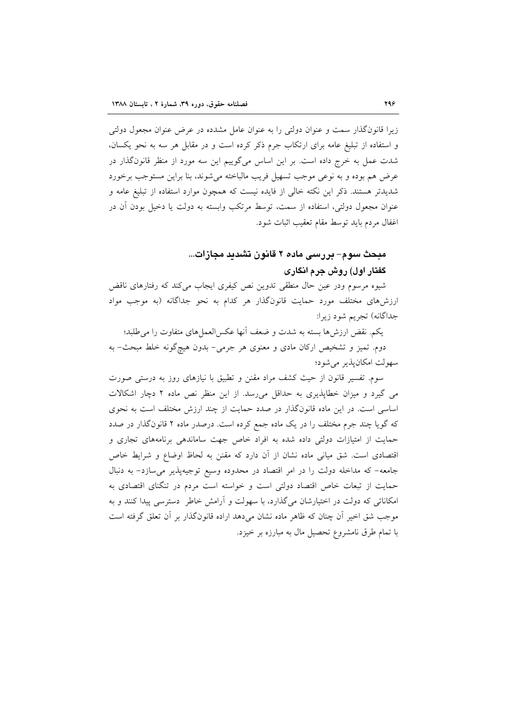زیرا قانونگذار سمت و عنوان دولتی را به عنوان عامل مشدده در عرض عنوان مجعول دولتی و استفاده از تبلیغ عامه برای ارتکاب جرم ذکر کرده است و در مقابل هر سه به نحو یکسان، شدت عمل به خرج داده است. بر این اساس میگوییم این سه مورد از منظر قانونگذار در عرض هم بوده و به نوعی موجب تسهیل فریب مالباخته میشوند، بنا براین مستوجب برخورد شدیدتر هستند. ذکر این نکته خالی از فایده نیست که همچون موارد استفاده از تبلیغ عامه و عنوان مجعول دولتی، استفاده از سمت، توسط مرتکب وابسته به دولت یا دخیل بودن آن در اغفال مردم بايد توسط مقام تعقيب اثبات شود.

# مبحث سوم– بررسی ماده ۲ قانون تشدید مجازات... گفتار اول) روش جرم انگاری

شیوه مرسوم ودر عین حال منطقی تدوین نص کیفری ایجاب می کند که رفتارهای ناقض ارزشهای مختلف مورد حمایت قانونگذار هر کدام به نحو جداگانه (به موجب مواد جداگانه) تجریم شود زیرا:

يكم. نقض ارزشها بسته به شدت و ضعف أنها عكسالعملهاي متفاوت را مى طلبد؛ دوم. تمیز و تشخیص ارکان مادی و معنوی هر جرمی- بدون هیچگونه خلط مبحث- به سهولت امکانپذیر میشود؛

سوم. تفسیر قانون از حیث کشف مراد مقنن و تطبیق با نیازهای روز به درستی صورت می گیرد و میزان خطاپذیری به حداقل می رسد. از این منظر نص ماده ۲ دچار اشکالات اساسی است. در این ماده قانونگذار در صدد حمایت از چند ارزش مختلف است به نحوی که گویا چند جرم مختلف را در یک ماده جمع کرده است. درصدر ماده ۲ قانونگذار در صدد حمایت از امتیازات دولتی داده شده به افراد خاص جهت ساماندهی برنامههای تجاری و اقتصادی است. شق میانی ماده نشان از آن دارد که مقنن به لحاظ اوضاع و شرایط خاص جامعه- که مداخله دولت را در امر اقتصاد در محدوده وسیع توجیهپذیر می سازد- به دنبال حمایت از تبعات خاص اقتصاد دولتی است و خواسته است مردم در تنگنای اقتصادی به امکاناتی که دولت در اختیارشان میگذارد، با سهولت و آرامش خاطر دسترسی پیدا کنند و به موجب شق اخیر اَن چنان که ظاهر ماده نشان می(دهد اراده قانونگذار بر اَن تعلق گرفته است با تمام طرق نامشروع تحصیل مال به مبارزه بر خیزد.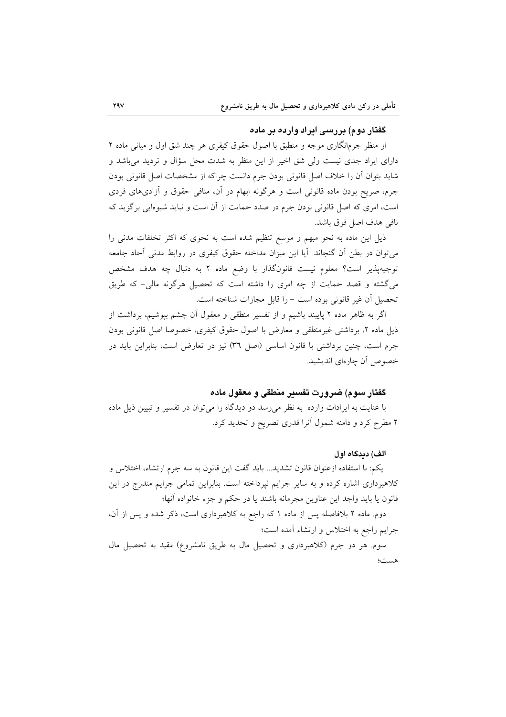## گفتان دوم) پرزستی ایراد وارده پر ماده

از منظر جرمانگاری موجه و منطبق با اصول حقوق کیفری هر چند شق اول و میانی ماده ۲ دارای ایراد جدی نیست ولی شق اخیر از این منظر به شدت محل سؤال و تردید میباشد و شاید بتوان آن را خلاف اصل قانونی بودن جرم دانست چراکه از مشخصات اصل قانونی بودن جرم، صریح بودن ماده قانونی است و هرگونه ابهام در آن، منافی حقوق و آزادیهای فردی است، امری که اصل قانونی بودن جرم در صدد حمایت از آن است و نباید شیوهایی برگزید که نافي هدف اصل فوق باشد.

ذیل این ماده به نحو مبهم و موسع تنظیم شده است به نحوی که اکثر تخلفات مدنی را می توان در بطن آن گنجاند. آیا این میزان مداخله حقوق کیفری در روابط مدنی آحاد جامعه توجیهپذیر است؟ معلوم نیست قانونگذار با وضع ماده ٢ به دنبال چه هدف مشخص می گشته و قصد حمایت از چه امری را داشته است که تحصیل هرگونه مالی- که طریق تحصيل أن غير قانوني بوده است - را قابل مجازات شناخته است.

اگر به ظاهر ماده ۲ پایبند باشیم و از تفسیر منطقی و معقول آن چشم بیوشیم، برداشت از ذیل ماده ۲، برداشتی غیرمنطقی و معارض با اصول حقوق کیفری، خصوصا اصل قانونی بودن جرم است، چنین برداشتی با قانون اساسی (اصل ٣٦) نیز در تعارض است، بنابراین باید در خصوص أن چارەاي انديشيد.

#### گفتار سوم) ضرورت تفسیر منطقی و معقول ماده

با عنایت به ایرادات وارده به نظر می رسد دو دیدگاه را می توان در تفسیر و تبیین ذیل ماده ۲ مطرح کرد و دامنه شمول آنرا قدری تصریح و تحدید کرد.

#### الف) ډېرگاه اول

يكم: با استفاده ازعنوان قانون تشديد... بايد گفت اين قانون به سه جرم ارتشاء، اختلاس و کلاهبرداری اشاره کرده و به سایر جرایم نپرداخته است. بنابراین تمامی جرایم مندرج در این قانون يا بايد واجد اين عناوين مجرمانه باشند يا در حكم و جزء خانواده آنها؛

دوم. ماده ۲ بلافاصله پس از ماده ۱ که راجع به کلاهبرداری است، ذکر شده و پس از آن، جرایم راجع به اختلاس و ارتشاء آمده است؛

سوم. هر دو جرم (كلاهبرداري و تحصيل مال به طريق نامشروع) مقيد به تحصيل مال هست؛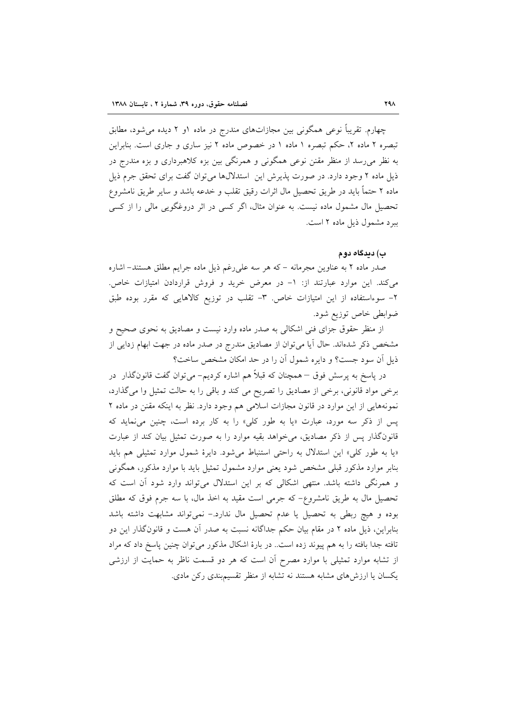چهارم. تقریباً نوعی همگونی بین مجازاتهای مندرج در ماده ۱و ۲ دیده می شود، مطابق تبصره ۲ ماده ۲، حکم تبصره ۱ ماده ۱ در خصوص ماده ۲ نیز ساری و جاری است. بنابراین به نظر میرسد از منظر مقنن نوعی همگونی و همرنگی بین بزه کلاهبرداری و بزه مندرج در ذیل ماده ۲ وجود دارد. در صورت پذیرش این استدلالها میتوان گفت برای تحقق جرم ذیل ماده ۲ حتماً باید در طریق تحصیل مال اثرات رقیق تقلب و خدعه باشد و سایر طریق نامشروع تحصیل مال مشمول ماده نیست. به عنوان مثال، اگر کسی در اثر دروغگویی مالی را از کسی ببرد مشمول ذیل ماده ۲ است.

#### ب) دىدگاه دوم

صدر ماده ۲ به عناوین مجرمانه – که هر سه علی رغم ذیل ماده جرایم مطلق هستند– اشاره می کند. این موارد عبارتند از: ١- در معرض خرید و فروش قراردادن امتیازات خاص. ۲- سوءاستفاده از این امتیازات خاص. ۳- تقلب در توزیع کالاهایی که مقرر بوده طبق ضوابطي خاص توزيع شود.

از منظر حقوق جزای فنی اشکالی به صدر ماده وارد نیست و مصادیق به نحوی صحیح و مشخص ذکر شدهاند. حال آیا میتوان از مصادیق مندرج در صدر ماده در جهت ابهام زدایی از ذیل آن سود جست؟ و دایره شمول آن را در حد امکان مشخص ساخت؟

در پاسخ به پرسش فوق – همچنان که قبلاً هم اشاره کردیم– می توان گفت قانونگذار در برخی مواد قانونی، برخی از مصادیق را تصریح می کند و باقی را به حالت تمثیل وا میگذارد، نمونههایی از این موارد در قانون مجازات اسلامی هم وجود دارد. نظر به اینکه مقنن در ماده ۲ پس از ذکر سه مورد، عبارت «یا به طور کلی» را به کار برده است، چنین می نماید که قانون گذار پس از ذکر مصادیق، می خواهد بقیه موارد را به صورت تمثیل بیان کند از عبارت «یا به طور کلی» این استدلال به راحتی استنباط می شود. دایرهٔ شمول موارد تمثیلی هم باید بنابر موارد مذکور قبلی مشخص شود یعنی موارد مشمول تمثیل باید با موارد مذکور، همگونی و همرنگی داشته باشد. منتهی اشکالی که بر این استدلال می تواند وارد شود آن است که تحصیل مال به طریق نامشروع- که جرمی است مقید به اخذ مال، با سه جرم فوق که مطلق بوده و هیچ ربطی به تحصیل یا عدم تحصیل مال ندارد.– نمیٍتواند مشابهت داشته باشد بنابراین، ذیل ماده ۲ در مقام بیان حکم جداگانه نسبت به صدر آن هست و قانونگذار این دو تافته جدا بافته را به هم پیوند زده است. در بارهٔ اشکال مذکور می توان چنین پاسخ داد که مراد از تشابه موارد تمثیلی با موارد مصرح آن است که هر دو قسمت ناظر به حمایت از ارزشی یکسان یا ارزش های مشابه هستند نه تشابه از منظر تقسیم بندی رکن مادی.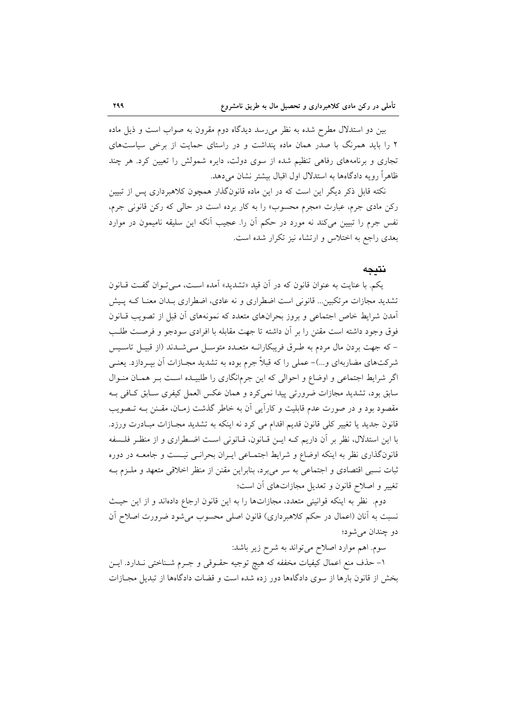بین دو استدلال مطرح شده به نظر می رسد دیدگاه دوم مقرون به صواب است و ذیل ماده ۲ را باید همرنگ با صدر همان ماده پنداشت و در راستای حمایت از برخی سیاستهای تجاری و برنامههای رفاهی تنظیم شده از سوی دولت، دایره شمولش را تعیین کرد. هر چند ظاهراً رویه دادگاهها به استدلال اول اقبال بیشتر نشان میدهد.

نکته قابل ذکر دیگر این است که در این ماده قانونگذار همچون کلاهبرداری پس از تبیین رکن مادی جرم، عبارت «مجرم محسوب» را به کار برده است در حال<sub>ی</sub> که رکن قانونی جرم، نفس جرم را تبیین میکند نه مورد در حکم آن را. عجیب آنکه این سلیقه نامیمون در موارد بعدی راجع به اختلاس و ارتشاء نیز تکرار شده است.

#### نتىجە

یکم. با عنایت به عنوان قانون که در آن قید «تشدید» آمده است، می توان گفت قبانون تشدید مجازات مرتکبین… قانونی است اضطراری و نه عادی، اضطراری بـدان معنـا کـه پـیش آمدن شرایط خاص اجتماعی و بروز بحرانهای متعدد که نمونههای آن قبل از تصویب قـانون فوق وجود داشته است مقنن را بر أن داشته تا جهت مقابله با افرادي سودجو و فرصت طلب – که جهت بردن مال مردم به طـرق فریبکارانــه متعــدد متوســل مــیشــدند (از قبیــل تاســیس شرکتهای مضاربهای و…)- عملی را که قبلاً جرم بوده به تشدید مجــازات آن بیــردازد. یعنــی اگر شرایط اجتماعی و اوضاع و احوالی که این جرمانگاری را طلبیـده اسـت بـر همـان منـوال سابق بود، تشدید مجازات ضرورتی پیدا نمی کرد و همان عکس العمل کیفری سـابق کـافی بـه مقصود بود و در صورت عدم قابلیت و کاراًیی آن به خاطر گذشت زمـان، مقـنن بــه تــصویب قانون جدید یا تغییر کلی قانون قدیم اقدام می کرد نه اینکه به تشدید مجـازات مبـادرت ورزد. با این استدلال، نظر بر آن داریم کـه ایــن قــانون، قــانونی اســت اضــطراری و از منظـر فلــسفه قانونگذاری نظر به اینکه اوضاع و شرایط اجتمـاعی ایـران بحرانـی نیـست و جامعــه در دوره ثبات نسبی اقتصادی و اجتماعی به سر می برد، بنابراین مقنن از منظر اخلاقی متعهد و ملـزم بـه تغییر و اصلاح قانون و تعدیل مجازاتهای آن است؛

دوم. نظر به اینکه قوانینی متعدد، مجازاتها را به این قانون ارجاع دادهاند و از این حیث نسبت به أنان (اعمال در حکم کلاهبرداری) قانون اصلی محسوب میشود ضرورت اصلاح اَن دو چندان مي شود؛

سوم. اهم موارد اصلاح می تواند به شرح زیر باشد:

١- حذف منع اعمال كيفيات مخففه كه هيچ توجيه حقــوقي و جــرم شــناختـي نــدارد. ايــن بخش از قانون بارها از سوی دادگاهها دور زده شده است و قضات دادگاهها از تبدیل مجـازات